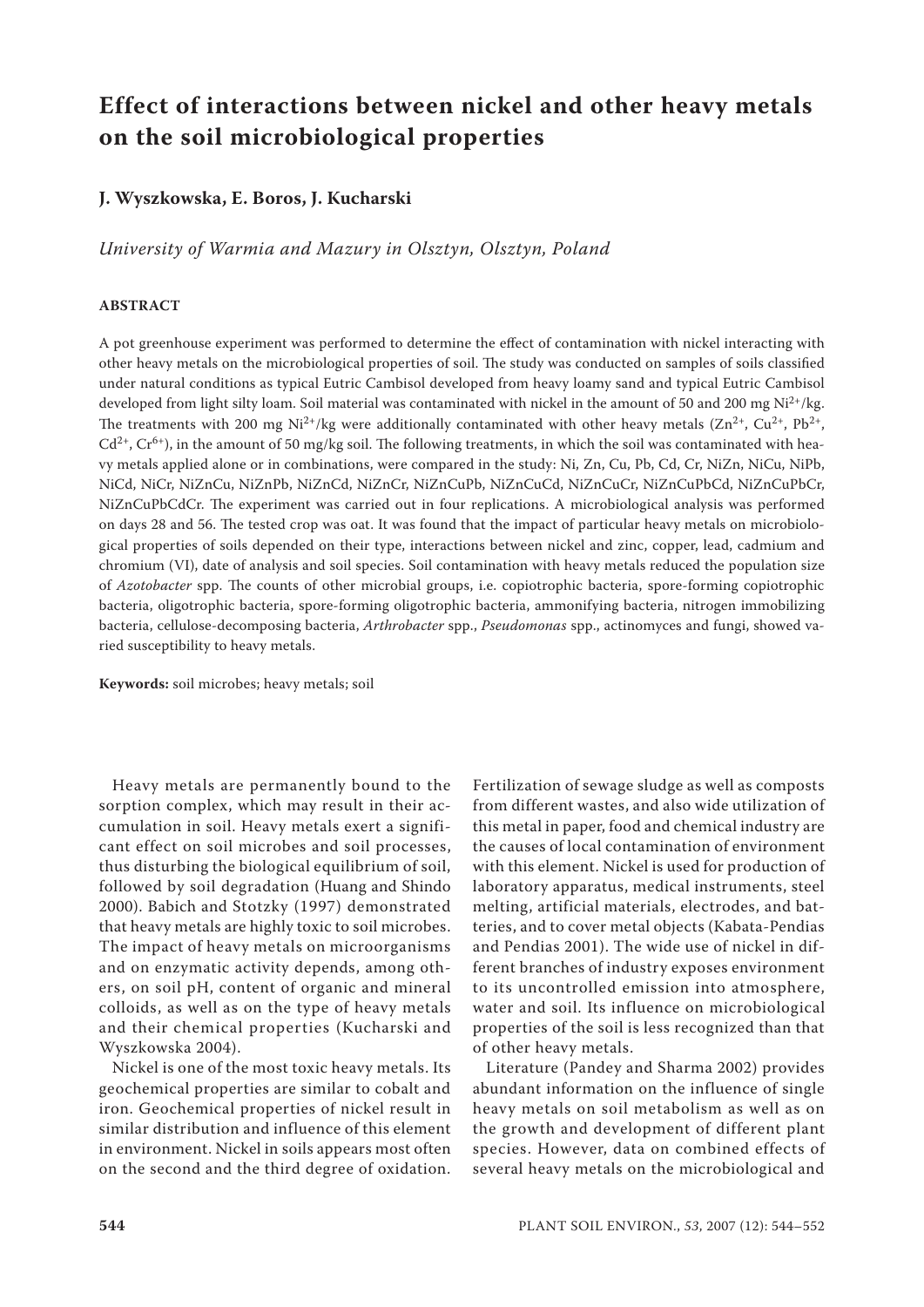# **Effect of interactions between nickel and other heavy metals on the soil microbiological properties**

## **J. Wyszkowska, E. Boros, J. Kucharski**

*University of Warmia and Mazury in Olsztyn, Olsztyn, Poland*

#### **ABSTRACT**

A pot greenhouse experiment was performed to determine the effect of contamination with nickel interacting with other heavy metals on the microbiological properties of soil. The study was conducted on samples of soils classified under natural conditions as typical Eutric Cambisol developed from heavy loamy sand and typical Eutric Cambisol developed from light silty loam. Soil material was contaminated with nickel in the amount of 50 and 200 mg Ni<sup>2+</sup>/kg. The treatments with 200 mg Ni<sup>2+</sup>/kg were additionally contaminated with other heavy metals ( $\text{Zn}^{2+}$ ,  $\text{Cu}^{2+}$ ,  $\text{Pb}^{2+}$ ,  $Cd^{2+}$ ,  $Cr^{6+}$ ), in the amount of 50 mg/kg soil. The following treatments, in which the soil was contaminated with heavy metals applied alone or in combinations, were compared in the study: Ni, Zn, Cu, Pb, Cd, Cr, NiZn, NiCu, NiPb, NiCd, NiCr, NiZnCu, NiZnPb, NiZnCd, NiZnCr, NiZnCuPb, NiZnCuCd, NiZnCuCr, NiZnCuPbCd, NiZnCuPbCr, NiZnCuPbCdCr. The experiment was carried out in four replications. A microbiological analysis was performed on days 28 and 56. The tested crop was oat. It was found that the impact of particular heavy metals on microbiological properties of soils depended on their type, interactions between nickel and zinc, copper, lead, cadmium and chromium (VI), date of analysis and soil species. Soil contamination with heavy metals reduced the population size of *Azotobacter* spp. The counts of other microbial groups, i.e. copiotrophic bacteria, spore-forming copiotrophic bacteria, oligotrophic bacteria, spore-forming oligotrophic bacteria, ammonifying bacteria, nitrogen immobilizing bacteria, cellulose-decomposing bacteria, *Arthrobacter* spp., *Pseudomonas* spp., actinomyces and fungi, showed varied susceptibility to heavy metals.

**Keywords:** soil microbes; heavy metals; soil

Heavy metals are permanently bound to the sorption complex, which may result in their accumulation in soil. Heavy metals exert a significant effect on soil microbes and soil processes, thus disturbing the biological equilibrium of soil, followed by soil degradation (Huang and Shindo 2000). Babich and Stotzky (1997) demonstrated that heavy metals are highly toxic to soil microbes. The impact of heavy metals on microorganisms and on enzymatic activity depends, among others, on soil pH, content of organic and mineral colloids, as well as on the type of heavy metals and their chemical properties (Kucharski and Wyszkowska 2004).

Nickel is one of the most toxic heavy metals. Its geochemical properties are similar to cobalt and iron. Geochemical properties of nickel result in similar distribution and influence of this element in environment. Nickel in soils appears most often on the second and the third degree of oxidation.

Fertilization of sewage sludge as well as composts from different wastes, and also wide utilization of this metal in paper, food and chemical industry are the causes of local contamination of environment with this element. Nickel is used for production of laboratory apparatus, medical instruments, steel melting, artificial materials, electrodes, and batteries, and to cover metal objects (Kabata-Pendias and Pendias 2001). The wide use of nickel in different branches of industry exposes environment to its uncontrolled emission into atmosphere, water and soil. Its influence on microbiological properties of the soil is less recognized than that of other heavy metals.

Literature (Pandey and Sharma 2002) provides abundant information on the influence of single heavy metals on soil metabolism as well as on the growth and development of different plant species. However, data on combined effects of several heavy metals on the microbiological and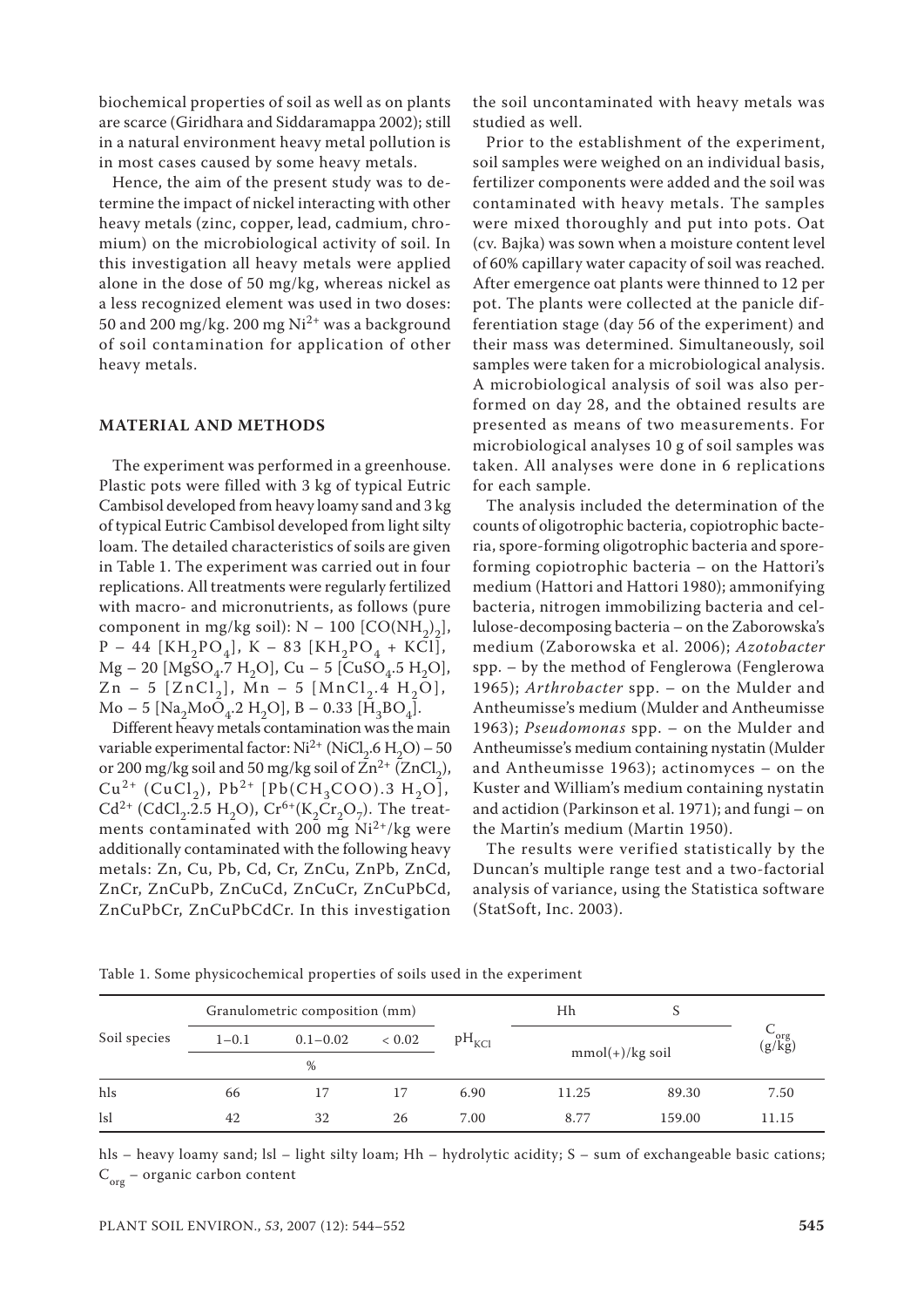biochemical properties of soil as well as on plants are scarce (Giridhara and Siddaramappa 2002); still in a natural environment heavy metal pollution is in most cases caused by some heavy metals.

Hence, the aim of the present study was to determine the impact of nickel interacting with other heavy metals (zinc, copper, lead, cadmium, chromium) on the microbiological activity of soil. In this investigation all heavy metals were applied alone in the dose of 50 mg/kg, whereas nickel as a less recognized element was used in two doses: 50 and 200 mg/kg. 200 mg  $Ni<sup>2+</sup>$  was a background of soil contamination for application of other heavy metals.

#### **MATERIAL AND METHODS**

The experiment was performed in a greenhouse. Plastic pots were filled with 3 kg of typical Eutric Cambisol developed from heavy loamy sand and 3 kg of typical Eutric Cambisol developed from light silty loam. The detailed characteristics of soils are given in Table 1. The experiment was carried out in four replications. All treatments were regularly fertilized with macro- and micronutrients, as follows (pure component in mg/kg soil):  $N - 100$   $[CO(NH<sub>2</sub>)<sub>2</sub>]$ ,  $P - 44$  [KH<sub>2</sub>PO<sub>4</sub>], K – 83 [KH<sub>2</sub>PO<sub>4</sub> + KCl],  $Mg - 20$  [MgSO<sub>4</sub>.7 H<sub>2</sub>O], Cu – 5 [CuSO<sub>4</sub>.5 H<sub>2</sub>O],  $Zn - 5$  [ZnCl<sub>2</sub>], Mn – 5 [MnCl<sub>2</sub>.4 H<sub>2</sub>O],  $Mo - 5$  [Na<sub>2</sub>MoO<sub>4</sub>.2 H<sub>2</sub>O], B – 0.33 [H<sub>3</sub>BO<sub>4</sub>].

Different heavy metals contamination was the main variable experimental factor:  $Ni^{2+}$  (NiCl<sub>2</sub>.6 H<sub>2</sub>O) – 50 or 200 mg/kg soil and 50 mg/kg soil of  $\text{Zn}^{2+}$  (ZnCl<sub>2</sub>),  $Cu^{2+}$  (CuCl<sub>2</sub>), Pb<sup>2+</sup> [Pb(CH<sub>3</sub>COO).3 H<sub>2</sub>O],  $Cd^{2+}$  (CdCl<sub>2</sub>.2.5 H<sub>2</sub>O), Cr<sup>6+</sup>(K<sub>2</sub>Cr<sub>2</sub>O<sub>7</sub>). The treatments contaminated with 200 mg  $Ni^{2+}/kg$  were additionally contaminated with the following heavy metals: Zn, Cu, Pb, Cd, Cr, ZnCu, ZnPb, ZnCd, ZnCr, ZnCuPb, ZnCuCd, ZnCuCr, ZnCuPbCd, ZnCuPbCr, ZnCuPbCdCr. In this investigation

the soil uncontaminated with heavy metals was studied as well.

Prior to the establishment of the experiment, soil samples were weighed on an individual basis, fertilizer components were added and the soil was contaminated with heavy metals. The samples were mixed thoroughly and put into pots. Oat (cv. Bajka) was sown when a moisture content level of 60% capillary water capacity of soil was reached. After emergence oat plants were thinned to 12 per pot. The plants were collected at the panicle differentiation stage (day 56 of the experiment) and their mass was determined. Simultaneously, soil samples were taken for a microbiological analysis. A microbiological analysis of soil was also performed on day 28, and the obtained results are presented as means of two measurements. For microbiological analyses 10 g of soil samples was taken. All analyses were done in 6 replications for each sample.

The analysis included the determination of the counts of oligotrophic bacteria, copiotrophic bacteria, spore-forming oligotrophic bacteria and sporeforming copiotrophic bacteria – on the Hattori's medium (Hattori and Hattori 1980); ammonifying bacteria, nitrogen immobilizing bacteria and cellulose-decomposing bacteria – on the Zaborowska's medium (Zaborowska et al. 2006); *Azotobacter*  spp. – by the method of Fenglerowa (Fenglerowa 1965); *Arthrobacter* spp. – on the Mulder and Antheumisse's medium (Mulder and Antheumisse 1963); *Pseudomonas* spp. – on the Mulder and Antheumisse's medium containing nystatin (Mulder and Antheumisse 1963); actinomyces – on the Kuster and William's medium containing nystatin and actidion (Parkinson et al. 1971); and fungi – on the Martin's medium (Martin 1950).

The results were verified statistically by the Duncan's multiple range test and a two-factorial analysis of variance, using the Statistica software (StatSoft, Inc. 2003).

|                 |           | Granulometric composition (mm) |            |            | Hh                |                                        |       |  |
|-----------------|-----------|--------------------------------|------------|------------|-------------------|----------------------------------------|-------|--|
| Soil species    | $1 - 0.1$ | $0.1 - 0.02$                   | ${}< 0.02$ | $pH_{KCl}$ |                   | $\mathrm{C}_{\text{org}}^{\text{org}}$ |       |  |
|                 |           | %                              |            |            | $mmol(+)/kg$ soil |                                        |       |  |
| hls             | 66        |                                | 17         | 6.90       | 11.25             | 89.30                                  | 7.50  |  |
| <sup>1</sup> sl | 42        | 32                             | 26         | 7.00       | 8.77              | 159.00                                 | 11.15 |  |

Table 1. Some physicochemical properties of soils used in the experiment

hls – heavy loamy sand; lsl – light silty loam; Hh – hydrolytic acidity; S – sum of exchangeable basic cations;  $\rm C_{org}$  – organic carbon content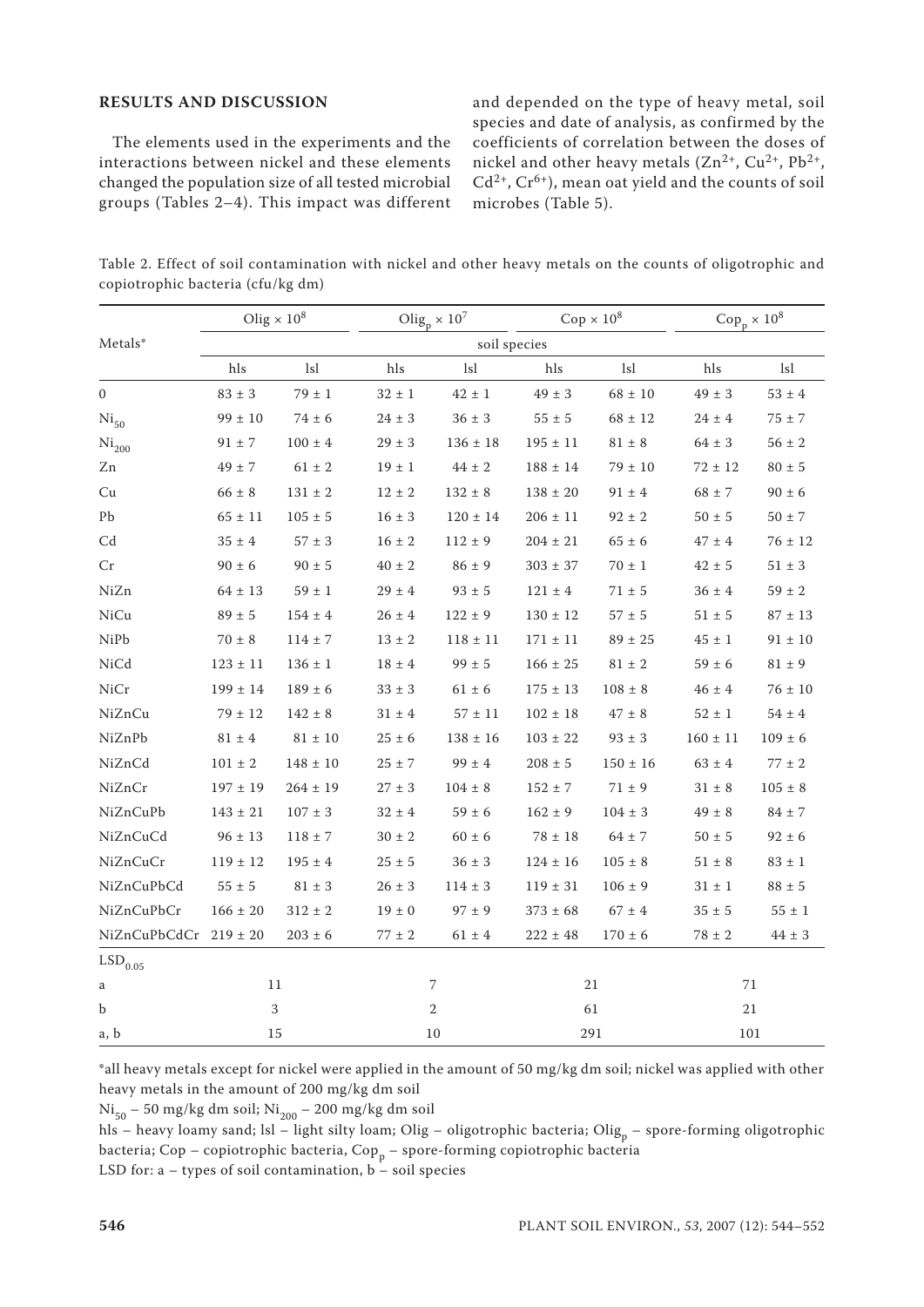### **RESULTS AND DISCUSSION**

The elements used in the experiments and the interactions between nickel and these elements changed the population size of all tested microbial groups (Tables 2–4). This impact was different and depended on the type of heavy metal, soil species and date of analysis, as confirmed by the coefficients of correlation between the doses of nickel and other heavy metals  $(Zn^{2+}, Cu^{2+}, Pb^{2+},$  $Cd^{2+}$ ,  $Cr^{6+}$ ), mean oat yield and the counts of soil microbes (Table 5).

Table 2. Effect of soil contamination with nickel and other heavy metals on the counts of oligotrophic and copiotrophic bacteria (cfu/kg dm)

|                             |              | Olig $\times 10^8$ |            | $\mathrm{Olig}_{\mathrm{n}} \times 10^7$ |              | $Cop \times 10^8$  | $\mathrm{Cop}_{\mathrm{p}} \times 10^8$ |                 |  |
|-----------------------------|--------------|--------------------|------------|------------------------------------------|--------------|--------------------|-----------------------------------------|-----------------|--|
| Metals*                     |              |                    |            |                                          | soil species |                    |                                         |                 |  |
|                             | hls          | $\mathbf{ls}$      | hls        | $\mathbf{I}$ sl                          | hls          | $\mathop{\rm lsl}$ | hls                                     | $\mathbf{I}$ sl |  |
| $\mathbf{0}$                | $83\pm3$     | $79 \pm 1$         | $32 \pm 1$ | $42 \pm 1$                               | $49 \pm 3$   | $68 \pm 10$        | $49 \pm 3$                              | $53 \pm 4$      |  |
| Ni <sub>50</sub>            | $99 \pm 10$  | $74\pm6$           | $24\pm3$   | $36\pm3$                                 | $55\pm5$     | $68\pm12$          | $24\pm4$                                | $75\pm7$        |  |
| Ni <sub>200</sub>           | $91 \pm 7$   | $100 \pm 4$        | $29 \pm 3$ | $136 \pm 18$                             | $195 \pm 11$ | $81 \pm 8$         | $64 \pm 3$                              | $56\pm2$        |  |
| ${\rm Zn}$                  | $49\pm7$     | $61\pm2$           | $19\pm1$   | $44\pm2$                                 | $188 \pm 14$ | $79 \pm 10$        | $72 \pm 12$                             | $80\pm5$        |  |
| $\ensuremath{\mathrm{Cu}}$  | $66\pm8$     | $131 \pm 2$        | $12\pm2$   | $132 \pm 8$                              | $138\pm20$   | $91\pm4$           | $68 \pm 7$                              | $90 \pm 6$      |  |
| Pb                          | $65 \pm 11$  | $105\pm5$          | $16 \pm 3$ | $120 \pm 14$                             | $206 \pm 11$ | $92 \pm 2$         | $50\pm5$                                | $50\pm7$        |  |
| $\ensuremath{\mathrm{C}} d$ | $35\,\pm\,4$ | $57\pm3$           | $16\pm2$   | $112\pm9$                                | $204\pm21$   | $65\pm6$           | $47\pm4$                                | $76 \pm 12$     |  |
| Cr                          | $90 \pm 6$   | $90 \pm 5$         | $40\pm2$   | $86 \pm 9$                               | $303\pm37$   | $70\pm1$           | $42 \pm 5$                              | $51\pm3$        |  |
| NiZn                        | $64 \pm 13$  | $59 \pm 1$         | $29 \pm 4$ | $93\pm5$                                 | $121 \pm 4$  | $71 \pm 5$         | $36\pm4$                                | $59\pm2$        |  |
| NiCu                        | $89\pm5$     | $154\pm4$          | $26\pm4$   | $122\pm9$                                | $130\pm12$   | $57\pm5$           | $51\pm5$                                | $87 \pm 13$     |  |
| NiPb                        | $70 \pm 8$   | $114\pm7$          | $13\pm2$   | $118 \pm 11$                             | $171\pm11$   | $89\pm25$          | $45\pm1$                                | $91 \pm 10$     |  |
| NiCd                        | $123\pm11$   | $136\pm1$          | $18\pm4$   | $99\pm5$                                 | $166\pm25$   | $81\pm2$           | $59\pm6$                                | $81\pm9$        |  |
| NiCr                        | $199 \pm 14$ | $189 \pm 6$        | $33\pm3$   | $61 \pm 6$                               | $175 \pm 13$ | $108 \pm 8$        | $46 \pm 4$                              | $76 \pm 10$     |  |
| NiZnCu                      | $79 \pm 12$  | $142 \pm 8$        | $31 \pm 4$ | $57 \pm 11$                              | $102 \pm 18$ | $47\pm8$           | $52 \pm 1$                              | $54 \pm 4$      |  |
| NiZnPb                      | $81\pm4$     | $81 \pm 10$        | $25 \pm 6$ | $138 \pm 16$                             | $103 \pm 22$ | $93\pm3$           | $160\pm11$                              | $109\pm6$       |  |
| NiZnCd                      | $101\pm2$    | $148\pm10$         | $25\pm7$   | $99 \pm 4$                               | $208\pm5$    | $150\pm16$         | $63 \pm 4$                              | $77 \pm 2$      |  |
| NiZnCr                      | $197\pm19$   | $264 \pm 19$       | $27 \pm 3$ | $104 \pm 8$                              | $152 \pm 7$  | $71 \pm 9$         | $31 \pm 8$                              | $105\,\pm\,8$   |  |
| NiZnCuPb                    | $143 \pm 21$ | $107 \pm 3$        | $32 \pm 4$ | $59 \pm 6$                               | $162 \pm 9$  | $104 \pm 3$        | $49 \pm 8$                              | $84 \pm 7$      |  |
| NiZnCuCd                    | $96 \pm 13$  | $118 \pm 7$        | $30\pm2$   | $60 \pm 6$                               | $78 \pm 18$  | $64 \pm 7$         | $50\pm5$                                | $92 \pm 6$      |  |
| NiZnCuCr                    | $119 \pm 12$ | $195 \pm 4$        | $25\pm5$   | $36\pm3$                                 | $124\pm16$   | $105 \pm 8$        | $51\pm8$                                | $83\pm1$        |  |
| NiZnCuPbCd                  | $55\pm5$     | $81\pm3$           | $26 \pm 3$ | $114 \pm 3$                              | $119 \pm 31$ | $106 \pm 9$        | $31 \pm 1$                              | $88\pm5$        |  |
| NiZnCuPbCr                  | $166 \pm 20$ | $312\pm2$          | $19 \pm 0$ | $97 \pm 9$                               | $373 \pm 68$ | $67\pm4$           | $35\pm5$                                | $55 \pm 1$      |  |
| $NiZnCuPbCdCr$ 219 ± 20     |              | $203\pm6$          | $77\pm2$   | $61\pm4$                                 | $222 \pm 48$ | $170\pm6$          | $78\pm2$                                | $44\pm3$        |  |
| $\mathrm{LSD}_{0.05}$       |              |                    |            |                                          |              |                    |                                         |                 |  |
| a                           |              | 11                 |            | 7                                        |              | 21                 | 71                                      |                 |  |
| $\mathbf b$                 |              | 3                  |            | 2                                        |              | 61                 |                                         | 21              |  |
| a, b                        |              | 15                 |            | 10                                       |              | 291                | 101                                     |                 |  |

\*all heavy metals except for nickel were applied in the amount of 50 mg/kg dm soil; nickel was applied with other heavy metals in the amount of 200 mg/kg dm soil

 $Ni<sub>50</sub> - 50$  mg/kg dm soil;  $Ni<sub>200</sub> - 200$  mg/kg dm soil

hls – heavy loamy sand; lsl – light silty loam; Olig – oligotrophic bacteria; Olig<sub>p</sub> – spore-forming oligotrophic bacteria; Cop – copiotrophic bacteria, Cop<sub>p</sub> – spore-forming copiotrophic bacteria

LSD for:  $a - types$  of soil contamination,  $b - so$ il species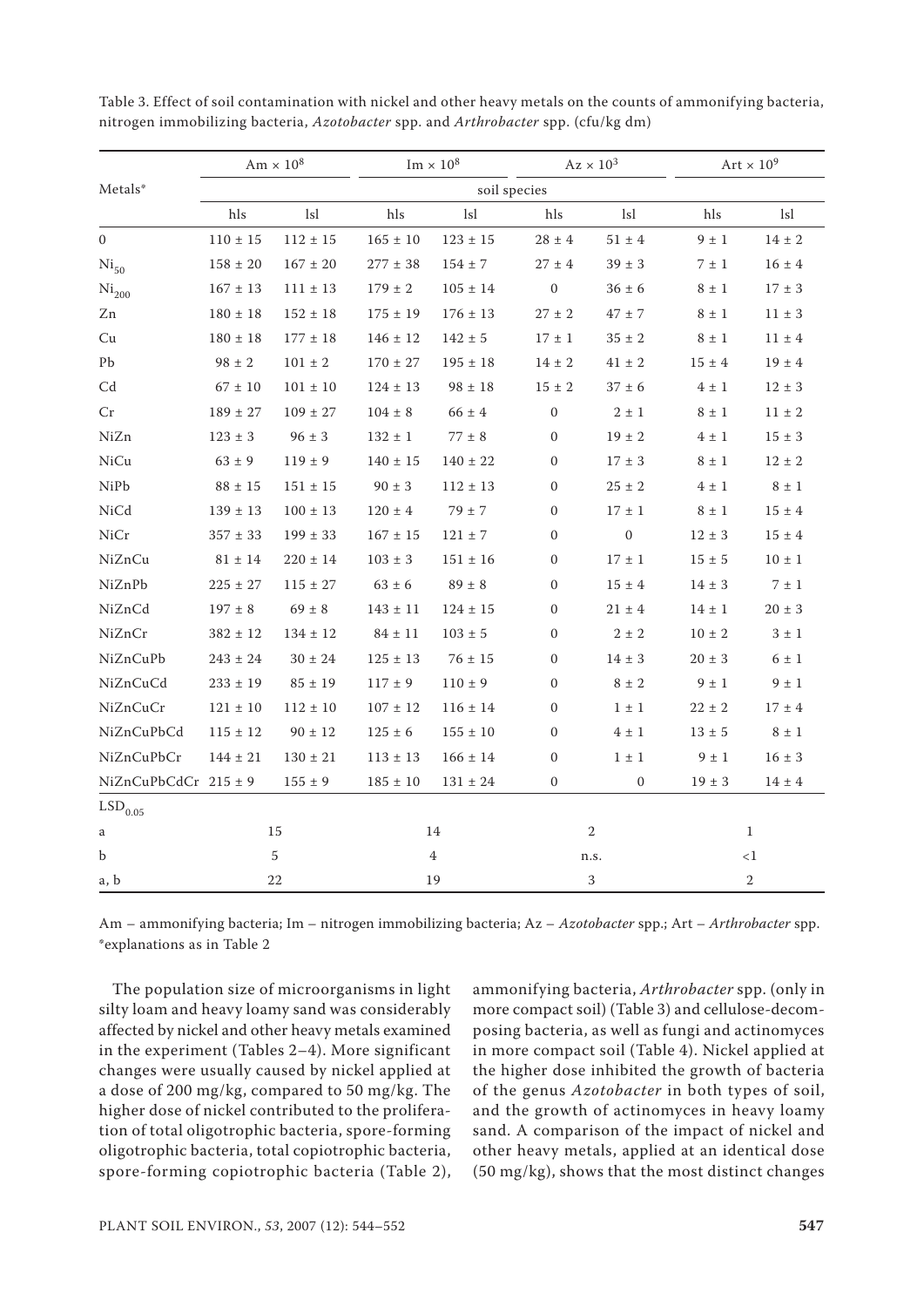|                            |              | Am $\times$ 10 <sup>8</sup> |              | $\mathrm{Im}\times10^8$ |                  | $\text{Az} \times 10^3$ | Art $\times$ $10^9$ |             |  |
|----------------------------|--------------|-----------------------------|--------------|-------------------------|------------------|-------------------------|---------------------|-------------|--|
| $Metals*$                  |              |                             |              |                         | soil species     |                         |                     |             |  |
|                            | hls          | $\mathbf{I}$ sl             | hls          | lsl                     | hls              | lsl                     | hls                 | lsl         |  |
| $\overline{0}$             | $110 \pm 15$ | $112 \pm 15$                | $165 \pm 10$ | $123 \pm 15$            | $28 \pm 4$       | $51\pm4$                | $9 \pm 1$           | $14\pm2$    |  |
| Ni <sub>50</sub>           | $158\pm20$   | $167\pm20$                  | $277 \pm 38$ | $154 \pm 7$             | $27 \pm 4$       | $39\pm3$                | $7 \pm 1$           | $16 \pm 4$  |  |
| $\mathrm{Ni}_{200}$        | $167\pm13$   | $111 \pm 13$                | $179 \pm 2$  | $105\pm14$              | $\mathbf{0}$     | $36\pm6$                | $8~\pm~1$           | $17 \pm 3$  |  |
| Zn                         | $180 \pm 18$ | $152\pm18$                  | $175 \pm 19$ | $176 \pm 13$            | $27 \pm 2$       | $47\pm7$                | $8 \pm 1$           | $11 \pm 3$  |  |
| Cu                         | $180\pm18$   | $177\pm18$                  | $146 \pm 12$ | $142\pm5$               | $17\pm1$         | $35\pm2$                | $8\,\pm\,1$         | $11\pm4$    |  |
| Pb                         | $98 \pm 2$   | $101 \pm 2$                 | $170 \pm 27$ | $195 \pm 18$            | $14\pm2$         | $41\pm2$                | $15\pm4$            | $19\pm4$    |  |
| Cd                         | $67\pm10$    | $101\pm10$                  | $124 \pm 13$ | $98 \pm 18$             | $15\pm2$         | $37 \pm 6$              | $4 \pm 1$           | $12\pm3$    |  |
| Cr                         | $189 \pm 27$ | $109 \pm 27$                | $104 \pm 8$  | $66 \pm 4$              | $\boldsymbol{0}$ | $2\pm1$                 | $8 \pm 1$           | $11\pm2$    |  |
| $\rm NiZn$                 | $123 \pm 3$  | $96 \pm 3$                  | $132 \pm 1$  | $77\pm8$                | $\overline{0}$   | $19\pm2$                | $4 \pm 1$           | $15\pm3$    |  |
| NiCu                       | $63\pm9$     | $119 \pm 9$                 | $140 \pm 15$ | $140 \pm 22$            | $\overline{0}$   | $17 \pm 3$              | $8 \pm 1$           | $12\pm2$    |  |
| $\rm NiPb$                 | $88\pm15$    | $151\pm15$                  | $90\pm3$     | $112 \pm 13$            | $\mathbf{0}$     | $25\pm2$                | $4\,\pm\,1$         | $8\,\pm\,1$ |  |
| $\rm NiCd$                 | $139 \pm 13$ | $100 \pm 13$                | $120 \pm 4$  | $79 \pm 7$              | $\overline{0}$   | $17 \pm 1$              | $8 \pm 1$           | $15\pm4$    |  |
| NiCr                       | $357 \pm 33$ | $199 \pm 33$                | $167 \pm 15$ | $121\pm7$               | $\overline{0}$   | $\boldsymbol{0}$        | $12\pm3$            | $15\pm4$    |  |
| NiZnCu                     | $81\pm14$    | $220 \pm 14$                | $103\pm3$    | $151 \pm 16$            | $\overline{0}$   | $17 \pm 1$              | $15 \pm 5$          | $10\pm1$    |  |
| NiZnPb                     | $225\pm27$   | $115\pm27$                  | $63 \pm 6$   | $89 \pm 8$              | $\overline{0}$   | $15 \pm 4$              | $14 \pm 3$          | $7\pm1$     |  |
| NiZnCd                     | $197 \pm 8$  | $69 \pm 8$                  | $143 \pm 11$ | $124 \pm 15$            | $\overline{0}$   | $21 \pm 4$              | $14 \pm 1$          | $20 \pm 3$  |  |
| NiZnCr                     | $382\pm12$   | $134 \pm 12$                | $84 \pm 11$  | $103 \pm 5$             | $\overline{0}$   | $2 \pm 2$               | $10 \pm 2$          | $3 \pm 1$   |  |
| NiZnCuPb                   | $243 \pm 24$ | $30 \pm 24$                 | $125 \pm 13$ | $76\pm15$               | $\overline{0}$   | $14 \pm 3$              | $20\pm3$            | $6 \pm 1$   |  |
| NiZnCuCd                   | $233 \pm 19$ | $85 \pm 19$                 | $117 \pm 9$  | $110 \pm 9$             | $\overline{0}$   | $8 \pm 2$               | $9 \pm 1$           | $9 \pm 1$   |  |
| NiZnCuCr                   | $121 \pm 10$ | $112\pm10$                  | $107 \pm 12$ | $116 \pm 14$            | $\mathbf{0}$     | $1 \pm 1$               | $22 \pm 2$          | $17 \pm 4$  |  |
| NiZnCuPbCd                 | $115 \pm 12$ | $90 \pm 12$                 | $125 \pm 6$  | $155 \pm 10$            | $\overline{0}$   | $4 \pm 1$               | $13 \pm 5$          | $8 \pm 1$   |  |
| NiZnCuPbCr                 | $144 \pm 21$ | $130\pm21$                  | $113 \pm 13$ | $166 \pm 14$            | $\overline{0}$   | $1 \pm 1$               | $9 \pm 1$           | $16 \pm 3$  |  |
| $NiZnCuPbCdCr$ 215 $\pm$ 9 |              | $155 \pm 9$                 | $185\pm10$   | $131 \pm 24$            | $\overline{0}$   | $\overline{0}$          | $19 \pm 3$          | $14 \pm 4$  |  |
| $\mathrm{LSD}_{0.05}$      |              |                             |              |                         |                  |                         |                     |             |  |
| a                          |              | 15                          |              | $14\,$                  |                  | $\overline{2}$          | $\mathbf{1}$        |             |  |
| b                          |              | $\sqrt{5}$                  |              | $\overline{4}$          | n.s.             |                         | $<$ 1               |             |  |
| a, b                       | 22           |                             |              | 19                      |                  | $\overline{3}$          | $\overline{2}$      |             |  |

Table 3. Effect of soil contamination with nickel and other heavy metals on the counts of ammonifying bacteria, nitrogen immobilizing bacteria, *Azotobacter* spp. and *Arthrobacter* spp. (cfu/kg dm)

Am – ammonifying bacteria; Im – nitrogen immobilizing bacteria; Az – *Azotobacter* spp.; Art – *Arthrobacter* spp. \*explanations as in Table 2

The population size of microorganisms in light silty loam and heavy loamy sand was considerably affected by nickel and other heavy metals examined in the experiment (Tables 2–4). More significant changes were usually caused by nickel applied at a dose of 200 mg/kg, compared to 50 mg/kg. The higher dose of nickel contributed to the proliferation of total oligotrophic bacteria, spore-forming oligotrophic bacteria, total copiotrophic bacteria, spore-forming copiotrophic bacteria (Table 2), ammonifying bacteria, *Arthrobacter* spp. (only in more compact soil) (Table 3) and cellulose-decomposing bacteria, as well as fungi and actinomyces in more compact soil (Table 4). Nickel applied at the higher dose inhibited the growth of bacteria of the genus *Azotobacter* in both types of soil, and the growth of actinomyces in heavy loamy sand. A comparison of the impact of nickel and other heavy metals, applied at an identical dose (50 mg/kg), shows that the most distinct changes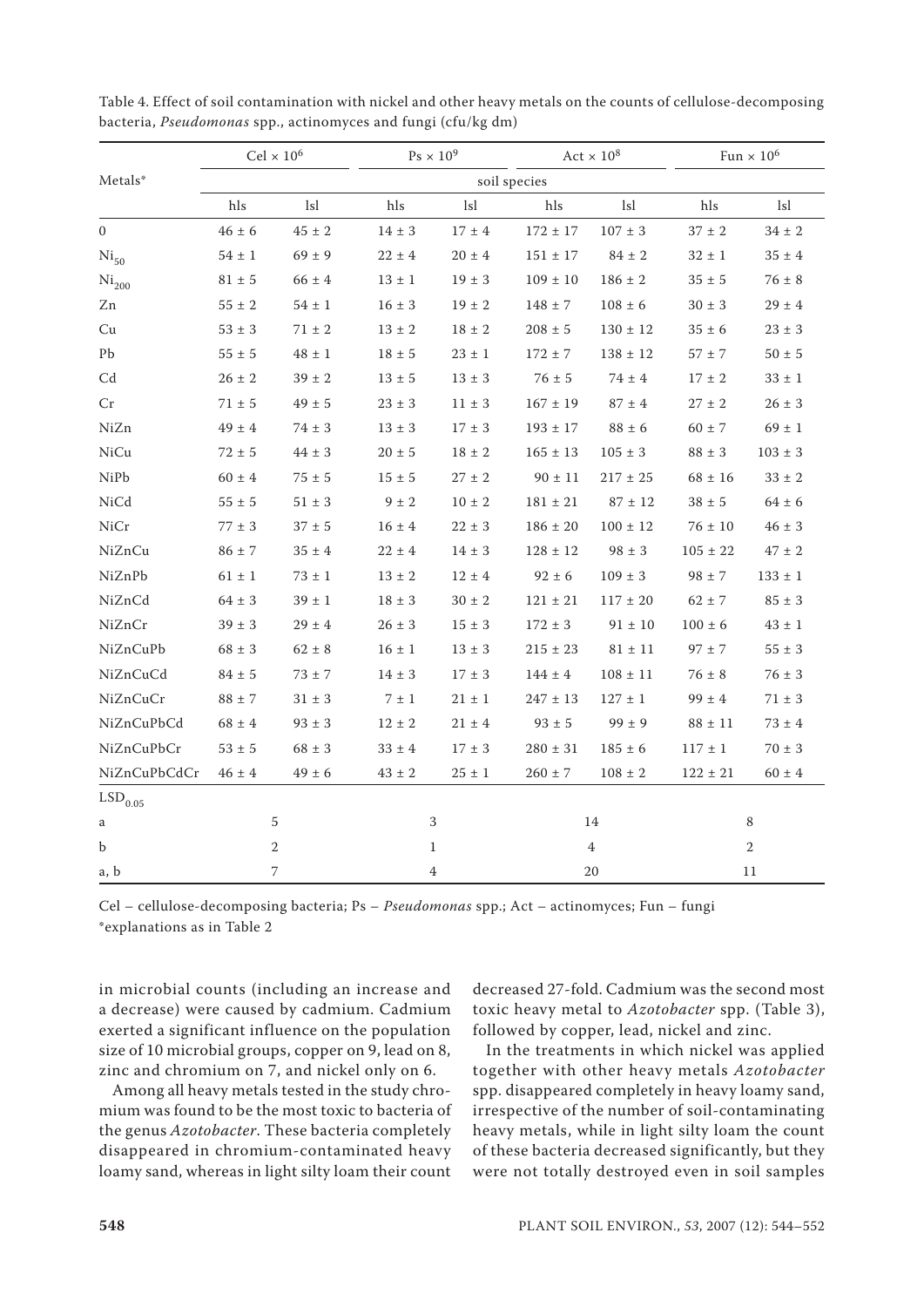|                       |                | $\text{Cel} \times 10^6$ |            | $Ps \times 10^9$            |              | Act $\times$ $10^8$ |              | Fun $\times$ 10 <sup>6</sup> |  |  |
|-----------------------|----------------|--------------------------|------------|-----------------------------|--------------|---------------------|--------------|------------------------------|--|--|
| $\bf Metals^*$        | soil species   |                          |            |                             |              |                     |              |                              |  |  |
|                       | hls            | $\mathsf{lsl}$           | hls        | $\mathop{\rm lcl}\nolimits$ | hls          | $\mathbf{I}$ sl     | hls          | lsl                          |  |  |
| $\overline{0}$        | $46 \pm 6$     | $45\pm2$                 | $14 \pm 3$ | $17\pm4$                    | $172\pm17$   | $107\pm3$           | $37 \pm 2$   | $34 \pm 2$                   |  |  |
| Ni <sub>50</sub>      | $54\pm1$       | $69 \pm 9$               | $22\pm4$   | $20 \pm 4$                  | $151 \pm 17$ | $84\pm2$            | $32 \pm 1$   | $35 \pm 4$                   |  |  |
| $\mathrm{Ni}_{200}$   | $81\pm5$       | $66\pm4$                 | $13\pm1$   | $19 \pm 3$                  | $109 \pm 10$ | $186 \pm 2$         | $35 \pm 5$   | $76\pm8$                     |  |  |
| Zn                    | $55\pm2$       | $54\pm1$                 | $16\pm3$   | $19\pm2$                    | $148\pm7$    | $108 \pm 6$         | $30\pm3$     | $29 \pm 4$                   |  |  |
| Cu                    | $53\pm3$       | $71\pm2$                 | $13\pm2$   | $18\pm2$                    | $208\pm5$    | $130\pm12$          | $35\pm6$     | $23\pm3$                     |  |  |
| Pb                    | $55\pm5$       | $48\pm1$                 | $18\pm5$   | $23 \pm 1$                  | $172\pm7$    | $138 \pm 12$        | $57\pm7$     | $50\pm5$                     |  |  |
| Cd                    | $26\pm2$       | $39 \pm 2$               | $13\pm5$   | $13 \pm 3$                  | $76 \pm 5$   | $74\pm4$            | $17 \pm 2$   | $33 \pm 1$                   |  |  |
| Cr                    | $71\pm5$       | $49\pm5$                 | $23\pm3$   | $11\pm3$                    | $167 \pm 19$ | $87 \pm 4$          | $27 \pm 2$   | $26\pm3$                     |  |  |
| NiZn                  | $49 \pm 4$     | $74\pm3$                 | $13 \pm 3$ | $17 \pm 3$                  | $193 \pm 17$ | $88\pm6$            | $60\pm7$     | $69\pm1$                     |  |  |
| NiCu                  | $72 \pm 5$     | $44\pm3$                 | $20 \pm 5$ | $18\pm2$                    | $165 \pm 13$ | $105 \pm 3$         | $88 \pm 3$   | $103 \pm 3$                  |  |  |
| NiPb                  | $60\pm4$       | $75\pm5$                 | $15\pm5$   | $27\pm2$                    | $90\pm11$    | $217\pm25$          | $68\pm16$    | $33\pm2$                     |  |  |
| $\rm NiCd$            | $55\pm5$       | $51\pm3$                 | $9\pm2$    | $10\pm2$                    | $181 \pm 21$ | $87\pm12$           | $38\pm5$     | $64\pm6$                     |  |  |
| NiCr                  | $77 \pm 3$     | $37\pm5$                 | $16 \pm 4$ | $22 \pm 3$                  | $186\pm20$   | $100\pm12$          | $76 \pm 10$  | $46 \pm 3$                   |  |  |
| NiZnCu                | $86 \pm 7$     | $35 \pm 4$               | $22 \pm 4$ | $14 \pm 3$                  | $128 \pm 12$ | $98 \pm 3$          | $105 \pm 22$ | $47 \pm 2$                   |  |  |
| NiZnPb                | $61 \pm 1$     | $73\pm1$                 | $13\pm2$   | $12\pm4$                    | $92 \pm 6$   | $109 \pm 3$         | $98 \pm 7$   | $133 \pm 1$                  |  |  |
| NiZnCd                | $64 \pm 3$     | $39\pm1$                 | $18 \pm 3$ | $30 \pm 2$                  | $121 \pm 21$ | $117 \pm 20$        | $62 \pm 7$   | $85 \pm 3$                   |  |  |
| NiZnCr                | $39\pm3$       | $29\pm4$                 | $26\pm3$   | $15\pm3$                    | $172\pm3$    | $91\pm10$           | $100\pm6$    | $43\pm1$                     |  |  |
| NiZnCuPb              | $68\pm3$       | $62\pm8$                 | $16\pm1$   | $13\pm3$                    | $215\pm23$   | $81\pm11$           | $97\pm7$     | $55\pm3$                     |  |  |
| NiZnCuCd              | $84 \pm 5$     | $73 \pm 7$               | $14 \pm 3$ | $17 \pm 3$                  | $144 \pm 4$  | $108 \pm 11$        | $76\pm8$     | $76 \pm 3$                   |  |  |
| NiZnCuCr              | $88\pm7$       | $31\pm3$                 | $7 \pm 1$  | $21\pm1$                    | $247 \pm 13$ | $127 \pm 1$         | $99 \pm 4$   | $71 \pm 3$                   |  |  |
| NiZnCuPbCd            | $68\pm4$       | $93 \pm 3$               | $12\pm2$   | $21\pm4$                    | $93 \pm 5$   | $99 \pm 9$          | $88\pm11$    | $73 \pm 4$                   |  |  |
| NiZnCuPbCr            | $53\pm5$       | $68\pm3$                 | $33\pm4$   | $17\pm3$                    | $280 \pm 31$ | $185\pm6$           | $117\pm1$    | $70\pm3$                     |  |  |
| NiZnCuPbCdCr          | $46\pm4$       | $49 \pm 6$               | $43\pm2$   | $25\pm1$                    | $260\pm7$    | $108\pm2$           | $122 \pm 21$ | $60 \pm 4$                   |  |  |
| $\mathrm{LSD}_{0.05}$ |                |                          |            |                             |              |                     |              |                              |  |  |
| a                     |                | $\sqrt{5}$               |            | 3                           |              | 14                  | $\,8\,$      |                              |  |  |
| $\mathbf b$           |                | $\sqrt{2}$               |            | $\mathbf{1}$                |              | $\overline{4}$      |              | 2                            |  |  |
| a, b                  | $\overline{7}$ |                          |            | $\overline{4}$              |              | $20\,$              | 11           |                              |  |  |

Table 4. Effect of soil contamination with nickel and other heavy metals on the counts of cellulose-decomposing bacteria, *Pseudomonas* spp., actinomyces and fungi (cfu/kg dm)

Cel – cellulose-decomposing bacteria; Ps – *Pseudomonas* spp.; Act – actinomyces; Fun – fungi \*explanations as in Table 2

in microbial counts (including an increase and a decrease) were caused by cadmium. Cadmium exerted a significant influence on the population size of 10 microbial groups, copper on 9, lead on 8, zinc and chromium on 7, and nickel only on 6.

Among all heavy metals tested in the study chromium was found to be the most toxic to bacteria of the genus *Azotobacter*. These bacteria completely disappeared in chromium-contaminated heavy loamy sand, whereas in light silty loam their count

decreased 27-fold. Cadmium was the second most toxic heavy metal to *Azotobacter* spp. (Table 3), followed by copper, lead, nickel and zinc.

In the treatments in which nickel was applied together with other heavy metals *Azotobacter*  spp. disappeared completely in heavy loamy sand, irrespective of the number of soil-contaminating heavy metals, while in light silty loam the count of these bacteria decreased significantly, but they were not totally destroyed even in soil samples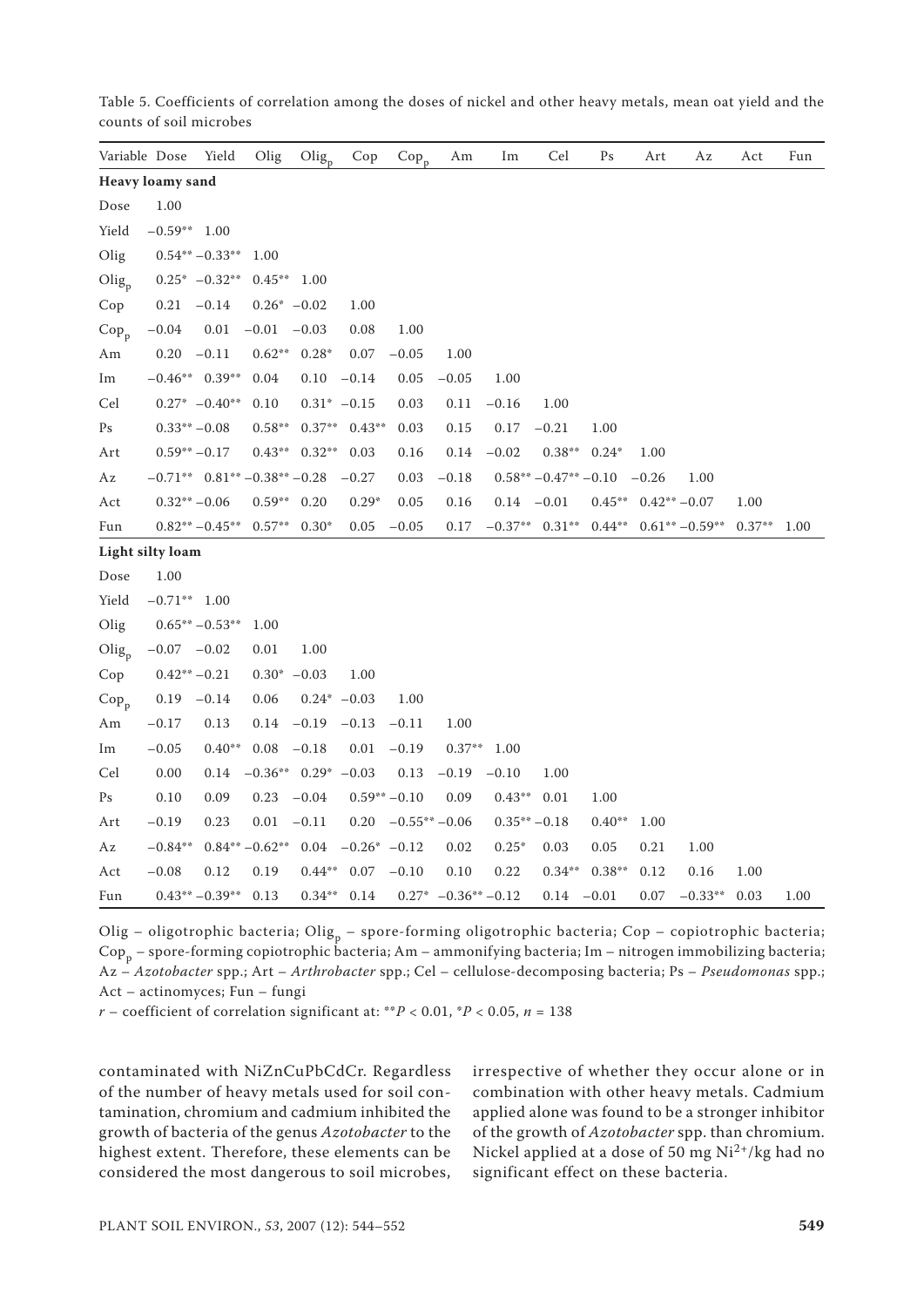|          | Variable Dose    | Yield                                 | Olig             | $Olig_{p}$              | Cop               | $Cop_p$         | Am                     | Im       | Cel                   | Ps        | Art                      | Az               | Act      | Fun  |
|----------|------------------|---------------------------------------|------------------|-------------------------|-------------------|-----------------|------------------------|----------|-----------------------|-----------|--------------------------|------------------|----------|------|
|          | Heavy loamy sand |                                       |                  |                         |                   |                 |                        |          |                       |           |                          |                  |          |      |
| Dose     | 1.00             |                                       |                  |                         |                   |                 |                        |          |                       |           |                          |                  |          |      |
| Yield    | $-0.59**$ 1.00   |                                       |                  |                         |                   |                 |                        |          |                       |           |                          |                  |          |      |
| Olig     |                  | $0.54***-0.33**$                      | 1.00             |                         |                   |                 |                        |          |                       |           |                          |                  |          |      |
| $Olig_p$ |                  | $0.25^* -0.32^{**}$                   | $0.45**$         | 1.00                    |                   |                 |                        |          |                       |           |                          |                  |          |      |
| Cop      | 0.21             | $-0.14$                               | $0.26^* - 0.02$  |                         | 1.00              |                 |                        |          |                       |           |                          |                  |          |      |
| $Cop_p$  | $-0.04$          | 0.01                                  | $-0.01 - 0.03$   |                         | 0.08              | 1.00            |                        |          |                       |           |                          |                  |          |      |
| Am       | 0.20             | $-0.11$                               | $0.62**$         | $0.28*$                 | 0.07              | $-0.05$         | 1.00                   |          |                       |           |                          |                  |          |      |
| Im       |                  | $-0.46**$ 0.39**                      | 0.04             | 0.10                    | $-0.14$           | 0.05            | $-0.05$                | 1.00     |                       |           |                          |                  |          |      |
| Cel      |                  | $0.27^*$ -0.40**                      | 0.10             |                         | $0.31^* -0.15$    | 0.03            | 0.11                   | $-0.16$  | 1.00                  |           |                          |                  |          |      |
| Ps       | $0.33** -0.08$   |                                       | $0.58**$         |                         | $0.37**$ 0.43**   | 0.03            | 0.15                   | 0.17     | $-0.21$               | 1.00      |                          |                  |          |      |
| Art      | $0.59** -0.17$   |                                       | $0.43**$         | $0.32**$                | 0.03              | 0.16            | 0.14                   | $-0.02$  | $0.38**$              | $0.24*$   | 1.00                     |                  |          |      |
| Az       |                  | $-0.71***$ $0.81**$ $-0.38**$ $-0.28$ |                  |                         | $-0.27$           | 0.03            | $-0.18$                |          | $0.58***-0.47**-0.10$ |           | $-0.26$                  | 1.00             |          |      |
| Act      | $0.32** -0.06$   |                                       | $0.59**$         | 0.20                    | $0.29*$           | 0.05            | 0.16                   |          | $0.14 - 0.01$         |           | $0.45***$ $0.42**$ -0.07 |                  | 1.00     |      |
| Fun      |                  | $0.82**-0.45**$                       | $0.57***$        | $0.30*$                 | 0.05              | $-0.05$         | 0.17                   |          | $-0.37**$ 0.31**      | $0.44**$  |                          | $0.61***-0.59**$ | $0.37**$ | 1.00 |
|          | Light silty loam |                                       |                  |                         |                   |                 |                        |          |                       |           |                          |                  |          |      |
| Dose     | 1.00             |                                       |                  |                         |                   |                 |                        |          |                       |           |                          |                  |          |      |
| Yield    | $-0.71**$ 1.00   |                                       |                  |                         |                   |                 |                        |          |                       |           |                          |                  |          |      |
| Olig     |                  | $0.65***-0.53**$                      | 1.00             |                         |                   |                 |                        |          |                       |           |                          |                  |          |      |
| $Olig_p$ | $-0.07 -0.02$    |                                       | 0.01             | 1.00                    |                   |                 |                        |          |                       |           |                          |                  |          |      |
| Cop      | $0.42** - 0.21$  |                                       | $0.30^* -0.03$   |                         | 1.00              |                 |                        |          |                       |           |                          |                  |          |      |
| $Cop_p$  | $0.19 - 0.14$    |                                       | 0.06             |                         | $0.24^* - 0.03$   | 1.00            |                        |          |                       |           |                          |                  |          |      |
| Am       | $-0.17$          | 0.13                                  | 0.14             | $-0.19$                 | $-0.13$           | $-0.11$         | 1.00                   |          |                       |           |                          |                  |          |      |
| Im       | $-0.05$          | $0.40**$                              | 0.08             | $-0.18$                 | $0.01\,$          | $-0.19$         | $0.37**$               | 1.00     |                       |           |                          |                  |          |      |
| Cel      | 0.00             | 0.14                                  |                  | $-0.36**$ 0.29* $-0.03$ |                   | 0.13            | $-0.19$                | $-0.10$  | 1.00                  |           |                          |                  |          |      |
| Ps       | 0.10             | 0.09                                  | 0.23             | $-0.04$                 |                   | $0.59** - 0.10$ | 0.09                   | $0.43**$ | 0.01                  | 1.00      |                          |                  |          |      |
| Art      | $-0.19$          | 0.23                                  | 0.01             | $-0.11$                 | 0.20              | $-0.55***-0.06$ |                        |          | $0.35** -0.18$        | $0.40**$  | 1.00                     |                  |          |      |
| Az       | $-0.84**$        |                                       | $0.84***-0.62**$ | 0.04                    | $-0.26^*$ $-0.12$ |                 | 0.02                   | $0.25*$  | 0.03                  | 0.05      | 0.21                     | 1.00             |          |      |
| Act      | $-0.08$          | 0.12                                  | 0.19             | $0.44**$                | 0.07              | $-0.10$         | 0.10                   | 0.22     | $0.34**$              | $0.38***$ | 0.12                     | 0.16             | 1.00     |      |
| Fun      |                  | $0.43***-0.39**$                      | 0.13             | $0.34**$                | 0.14              |                 | $0.27^*$ -0.36** -0.12 |          | $0.14 - 0.01$         |           | 0.07                     | $-0.33**$        | 0.03     | 1.00 |

| Table 5. Coefficients of correlation among the doses of nickel and other heavy metals, mean oat yield and the |  |  |  |  |  |  |
|---------------------------------------------------------------------------------------------------------------|--|--|--|--|--|--|
| counts of soil microbes                                                                                       |  |  |  |  |  |  |

Olig – oligotrophic bacteria; Olig<sub>p</sub> – spore-forming oligotrophic bacteria; Cop – copiotrophic bacteria;  $\text{Cop}_n$  – spore-forming copiotrophic bacteria; Am – ammonifying bacteria; Im – nitrogen immobilizing bacteria; Az – *Azotobacter* spp.; Art – *Arthrobacter* spp.; Cel – cellulose-decomposing bacteria; Ps – *Pseudomonas* spp.; Act – actinomyces; Fun – fungi

 $r$  – coefficient of correlation significant at: \*\**P* < 0.01, \**P* < 0.05, *n* = 138

contaminated with NiZnCuPbCdCr. Regardless of the number of heavy metals used for soil contamination, chromium and cadmium inhibited the growth of bacteria of the genus *Azotobacter* to the highest extent. Therefore, these elements can be considered the most dangerous to soil microbes,

irrespective of whether they occur alone or in combination with other heavy metals. Cadmium applied alone was found to be a stronger inhibitor of the growth of *Azotobacter* spp. than chromium. Nickel applied at a dose of 50 mg  $Ni<sup>2+</sup>/kg$  had no significant effect on these bacteria.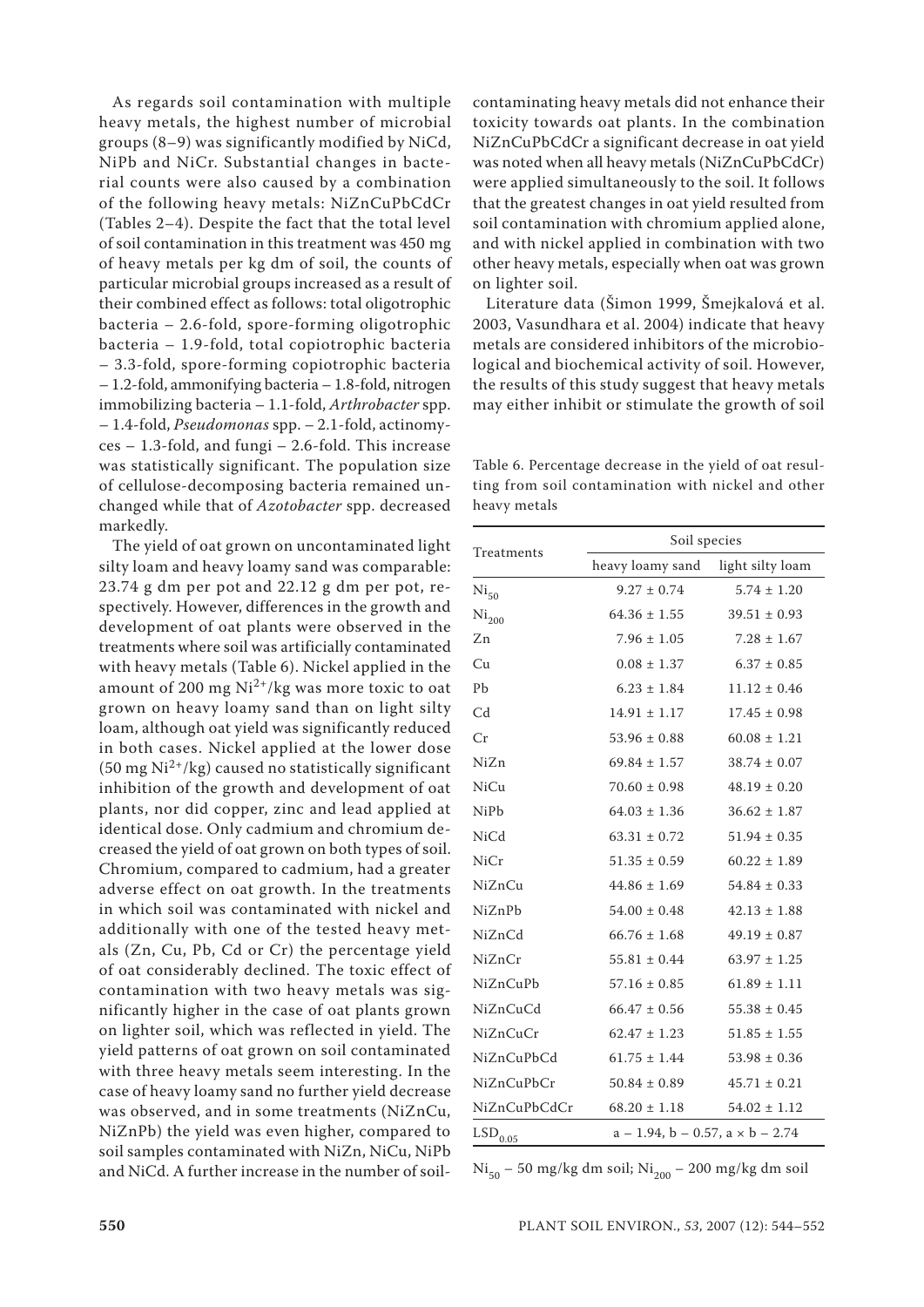As regards soil contamination with multiple heavy metals, the highest number of microbial groups (8–9) was significantly modified by NiCd, NiPb and NiCr. Substantial changes in bacterial counts were also caused by a combination of the following heavy metals: NiZnCuPbCdCr (Tables 2–4). Despite the fact that the total level of soil contamination in this treatment was 450 mg of heavy metals per kg dm of soil, the counts of particular microbial groups increased as a result of their combined effect as follows: total oligotrophic bacteria – 2.6-fold, spore-forming oligotrophic bacteria – 1.9-fold, total copiotrophic bacteria – 3.3-fold, spore-forming copiotrophic bacteria – 1.2-fold, ammonifying bacteria – 1.8-fold, nitrogen immobilizing bacteria – 1.1-fold, *Arthrobacter* spp. – 1.4-fold, *Pseudomonas* spp. – 2.1-fold, actinomyces – 1.3-fold, and fungi – 2.6-fold. This increase was statistically significant. The population size of cellulose-decomposing bacteria remained unchanged while that of *Azotobacter* spp. decreased markedly.

The yield of oat grown on uncontaminated light silty loam and heavy loamy sand was comparable: 23.74 g dm per pot and 22.12 g dm per pot, respectively. However, differences in the growth and development of oat plants were observed in the treatments where soil was artificially contaminated with heavy metals (Table 6). Nickel applied in the amount of 200 mg  $Ni^{2+}/kg$  was more toxic to oat grown on heavy loamy sand than on light silty loam, although oat yield was significantly reduced in both cases. Nickel applied at the lower dose (50 mg  $Ni<sup>2+/k</sup>g$ ) caused no statistically significant inhibition of the growth and development of oat plants, nor did copper, zinc and lead applied at identical dose. Only cadmium and chromium decreased the yield of oat grown on both types of soil. Chromium, compared to cadmium, had a greater adverse effect on oat growth. In the treatments in which soil was contaminated with nickel and additionally with one of the tested heavy metals (Zn, Cu, Pb, Cd or Cr) the percentage yield of oat considerably declined. The toxic effect of contamination with two heavy metals was significantly higher in the case of oat plants grown on lighter soil, which was reflected in yield. The yield patterns of oat grown on soil contaminated with three heavy metals seem interesting. In the case of heavy loamy sand no further yield decrease was observed, and in some treatments (NiZnCu, NiZnPb) the yield was even higher, compared to soil samples contaminated with NiZn, NiCu, NiPb and NiCd. A further increase in the number of soil-

contaminating heavy metals did not enhance their toxicity towards oat plants. In the combination NiZnCuPbCdCr a significant decrease in oat yield was noted when all heavy metals (NiZnCuPbCdCr) were applied simultaneously to the soil. It follows that the greatest changes in oat yield resulted from soil contamination with chromium applied alone, and with nickel applied in combination with two other heavy metals, especially when oat was grown on lighter soil.

Literature data (Šimon 1999, Šmejkalová et al. 2003, Vasundhara et al. 2004) indicate that heavy metals are considered inhibitors of the microbiological and biochemical activity of soil. However, the results of this study suggest that heavy metals may either inhibit or stimulate the growth of soil

Table 6. Percentage decrease in the yield of oat resulting from soil contamination with nickel and other heavy metals

|                       | Soil species                                  |                  |  |  |  |  |  |  |
|-----------------------|-----------------------------------------------|------------------|--|--|--|--|--|--|
| Treatments            | heavy loamy sand light silty loam             |                  |  |  |  |  |  |  |
| Ni <sub>50</sub>      | $9.27 \pm 0.74$                               | $5.74 \pm 1.20$  |  |  |  |  |  |  |
| Ni <sub>200</sub>     | $64.36 \pm 1.55$                              | $39.51 \pm 0.93$ |  |  |  |  |  |  |
| Zn                    | $7.96 \pm 1.05$                               | $7.28 \pm 1.67$  |  |  |  |  |  |  |
| Cu                    | $0.08 \pm 1.37$                               | $6.37 \pm 0.85$  |  |  |  |  |  |  |
| Pb                    | $6.23 \pm 1.84$                               | $11.12 \pm 0.46$ |  |  |  |  |  |  |
| C <sub>d</sub>        | $14.91 \pm 1.17$                              | $17.45 \pm 0.98$ |  |  |  |  |  |  |
| Cr                    | $53.96 \pm 0.88$                              | $60.08 \pm 1.21$ |  |  |  |  |  |  |
| NiZn                  | $69.84 \pm 1.57$                              | $38.74 \pm 0.07$ |  |  |  |  |  |  |
| NiCu                  | $70.60 \pm 0.98$                              | $48.19 \pm 0.20$ |  |  |  |  |  |  |
| NiPb                  | $64.03 \pm 1.36$                              | $36.62 \pm 1.87$ |  |  |  |  |  |  |
| NiCd                  | $63.31 \pm 0.72$                              | $51.94 \pm 0.35$ |  |  |  |  |  |  |
| NiCr                  | $51.35 \pm 0.59$                              | $60.22 \pm 1.89$ |  |  |  |  |  |  |
| NiZnCu                | $44.86 \pm 1.69$                              | $54.84 \pm 0.33$ |  |  |  |  |  |  |
| NiZnPb                | $54.00 \pm 0.48$                              | $42.13 \pm 1.88$ |  |  |  |  |  |  |
| NiZnCd                | $66.76 \pm 1.68$                              | $49.19 \pm 0.87$ |  |  |  |  |  |  |
| NiZnCr                | $55.81 \pm 0.44$                              | $63.97 \pm 1.25$ |  |  |  |  |  |  |
| NiZnCuPb              | $57.16 \pm 0.85$                              | $61.89 \pm 1.11$ |  |  |  |  |  |  |
| NiZnCuCd              | $66.47 \pm 0.56$                              | $55.38 \pm 0.45$ |  |  |  |  |  |  |
| NiZnCuCr              | $62.47 \pm 1.23$                              | $51.85 \pm 1.55$ |  |  |  |  |  |  |
| NiZnCuPbCd            | $61.75 \pm 1.44$                              | $53.98 \pm 0.36$ |  |  |  |  |  |  |
| NiZnCuPbCr            | $50.84 \pm 0.89$                              | $45.71 \pm 0.21$ |  |  |  |  |  |  |
| NiZnCuPbCdCr          | $68.20 \pm 1.18$                              | $54.02 \pm 1.12$ |  |  |  |  |  |  |
| $\mathrm{LSD}_{0.05}$ | $a - 1.94$ , $b - 0.57$ , $a \times b - 2.74$ |                  |  |  |  |  |  |  |

 $Ni<sub>50</sub> - 50$  mg/kg dm soil;  $Ni<sub>200</sub> - 200$  mg/kg dm soil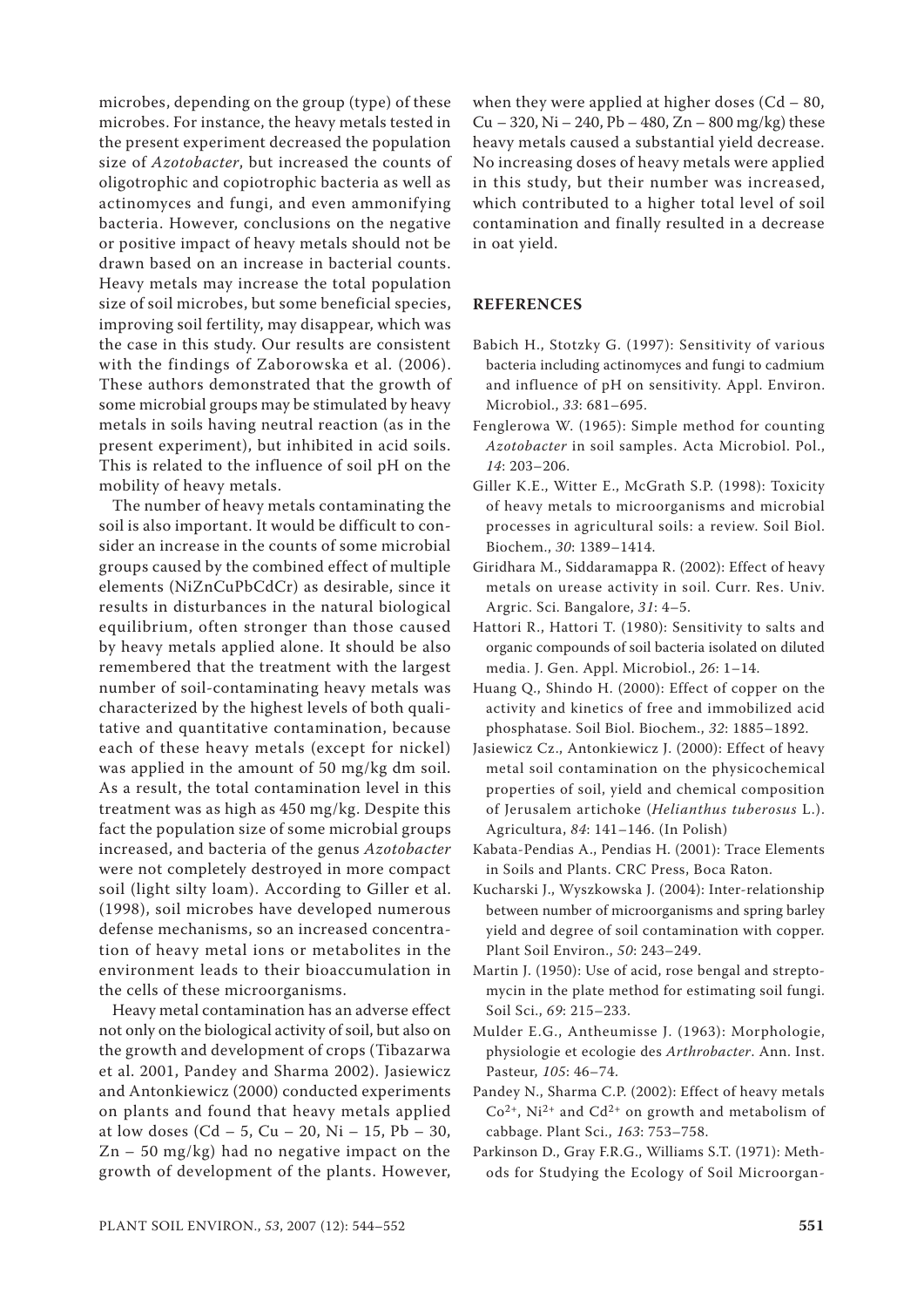microbes, depending on the group (type) of these microbes. For instance, the heavy metals tested in the present experiment decreased the population size of *Azotobacter*, but increased the counts of oligotrophic and copiotrophic bacteria as well as actinomyces and fungi, and even ammonifying bacteria. However, conclusions on the negative or positive impact of heavy metals should not be drawn based on an increase in bacterial counts. Heavy metals may increase the total population size of soil microbes, but some beneficial species, improving soil fertility, may disappear, which was the case in this study. Our results are consistent with the findings of Zaborowska et al. (2006). These authors demonstrated that the growth of some microbial groups may be stimulated by heavy metals in soils having neutral reaction (as in the present experiment), but inhibited in acid soils. This is related to the influence of soil pH on the mobility of heavy metals.

The number of heavy metals contaminating the soil is also important. It would be difficult to consider an increase in the counts of some microbial groups caused by the combined effect of multiple elements (NiZnCuPbCdCr) as desirable, since it results in disturbances in the natural biological equilibrium, often stronger than those caused by heavy metals applied alone. It should be also remembered that the treatment with the largest number of soil-contaminating heavy metals was characterized by the highest levels of both qualitative and quantitative contamination, because each of these heavy metals (except for nickel) was applied in the amount of 50 mg/kg dm soil. As a result, the total contamination level in this treatment was as high as 450 mg/kg. Despite this fact the population size of some microbial groups increased, and bacteria of the genus *Azotobacter* were not completely destroyed in more compact soil (light silty loam). According to Giller et al. (1998), soil microbes have developed numerous defense mechanisms, so an increased concentration of heavy metal ions or metabolites in the environment leads to their bioaccumulation in the cells of these microorganisms.

Heavy metal contamination has an adverse effect not only on the biological activity of soil, but also on the growth and development of crops (Tibazarwa et al. 2001, Pandey and Sharma 2002). Jasiewicz and Antonkiewicz (2000) conducted experiments on plants and found that heavy metals applied at low doses  $(Cd - 5, Cu - 20, Ni - 15, Pb - 30,$  $Zn - 50$  mg/kg) had no negative impact on the growth of development of the plants. However, when they were applied at higher doses  $(Cd - 80,$ Cu – 320, Ni – 240, Pb – 480, Zn – 800 mg/kg) these heavy metals caused a substantial yield decrease. No increasing doses of heavy metals were applied in this study, but their number was increased, which contributed to a higher total level of soil contamination and finally resulted in a decrease in oat yield.

#### **REFERENCES**

- Babich H., Stotzky G. (1997): Sensitivity of various bacteria including actinomyces and fungi to cadmium and influence of pH on sensitivity. Appl. Environ. Microbiol., *33*: 681–695.
- Fenglerowa W. (1965): Simple method for counting *Azotobacter* in soil samples. Acta Microbiol. Pol., *14*: 203–206.
- Giller K.E., Witter E., McGrath S.P. (1998): Toxicity of heavy metals to microorganisms and microbial processes in agricultural soils: a review. Soil Biol. Biochem., *30*: 1389–1414.
- Giridhara M., Siddaramappa R. (2002): Effect of heavy metals on urease activity in soil. Curr. Res. Univ. Argric. Sci. Bangalore, *31*: 4–5.
- Hattori R., Hattori T. (1980): Sensitivity to salts and organic compounds of soil bacteria isolated on diluted media. J. Gen. Appl. Microbiol., *26*: 1–14.
- Huang Q., Shindo H. (2000): Effect of copper on the activity and kinetics of free and immobilized acid phosphatase. Soil Biol. Biochem., *32*: 1885–1892.
- Jasiewicz Cz., Antonkiewicz J. (2000): Effect of heavy metal soil contamination on the physicochemical properties of soil, yield and chemical composition of Jerusalem artichoke (*Helianthus tuberosus* L.). Agricultura, *84*: 141–146. (In Polish)
- Kabata-Pendias A., Pendias H. (2001): Trace Elements in Soils and Plants. CRC Press, Boca Raton.
- Kucharski J., Wyszkowska J. (2004): Inter-relationship between number of microorganisms and spring barley yield and degree of soil contamination with copper. Plant Soil Environ., *50*: 243–249.
- Martin J. (1950): Use of acid, rose bengal and streptomycin in the plate method for estimating soil fungi. Soil Sci., *69*: 215–233.
- Mulder E.G., Antheumisse J. (1963): Morphologie, physiologie et ecologie des *Arthrobacter*. Ann. Inst. Pasteur, *105*: 46–74.
- Pandey N., Sharma C.P. (2002): Effect of heavy metals  $Co<sup>2+</sup>$ , Ni<sup>2+</sup> and Cd<sup>2+</sup> on growth and metabolism of cabbage. Plant Sci., *163*: 753–758.
- Parkinson D., Gray F.R.G., Williams S.T. (1971): Methods for Studying the Ecology of Soil Microorgan-